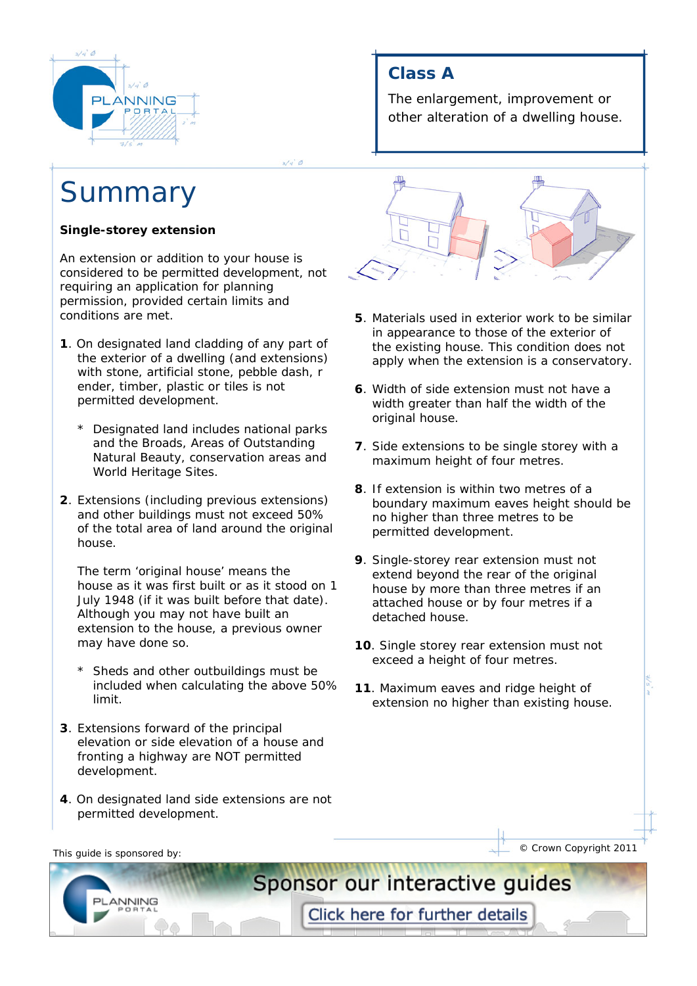

# Summary

### **Single-storey extension**

An extension or addition to your house is considered to be permitted development, not requiring an application for planning permission, provided certain limits and conditions are met.

- **1**. On designated land cladding of any part of the exterior of a dwelling (and extensions) with stone, artificial stone, pebble dash, r ender, timber, plastic or tiles is not permitted development.
	- \* Designated land includes national parks and the Broads, Areas of Outstanding Natural Beauty, conservation areas and World Heritage Sites.
- **2**. Extensions (including previous extensions) and other buildings must not exceed 50% of the total area of land around the original house.

 The term 'original house' means the house as it was first built or as it stood on 1 July 1948 (if it was built before that date). Although you may not have built an extension to the house, a previous owner may have done so.

- Sheds and other outbuildings must be included when calculating the above 50% limit.
- **3**. Extensions forward of the principal elevation or side elevation of a house and fronting a highway are NOT permitted development.
- **4**. On designated land side extensions are not permitted development.

## **Class A**

The enlargement, improvement or other alteration of a dwelling house.



- **5**. Materials used in exterior work to be similar in appearance to those of the exterior of the existing house. This condition does not apply when the extension is a conservatory.
- **6**. Width of side extension must not have a width greater than half the width of the original house.
- **7**. Side extensions to be single storey with a maximum height of four metres.
- **8**. If extension is within two metres of a boundary maximum eaves height should be no higher than three metres to be permitted development.
- **9**. Single-storey rear extension must not extend beyond the rear of the original house by more than three metres if an attached house or by four metres if a detached house.
- **10**. Single storey rear extension must not exceed a height of four metres.
- **11**. Maximum eaves and ridge height of extension no higher than existing house.

**ANNING** 

This quide is sponsored by:  $\overline{\phantom{a}}$  © Crown Copyright 2011

Click here for further details

Sponsor our interactive guides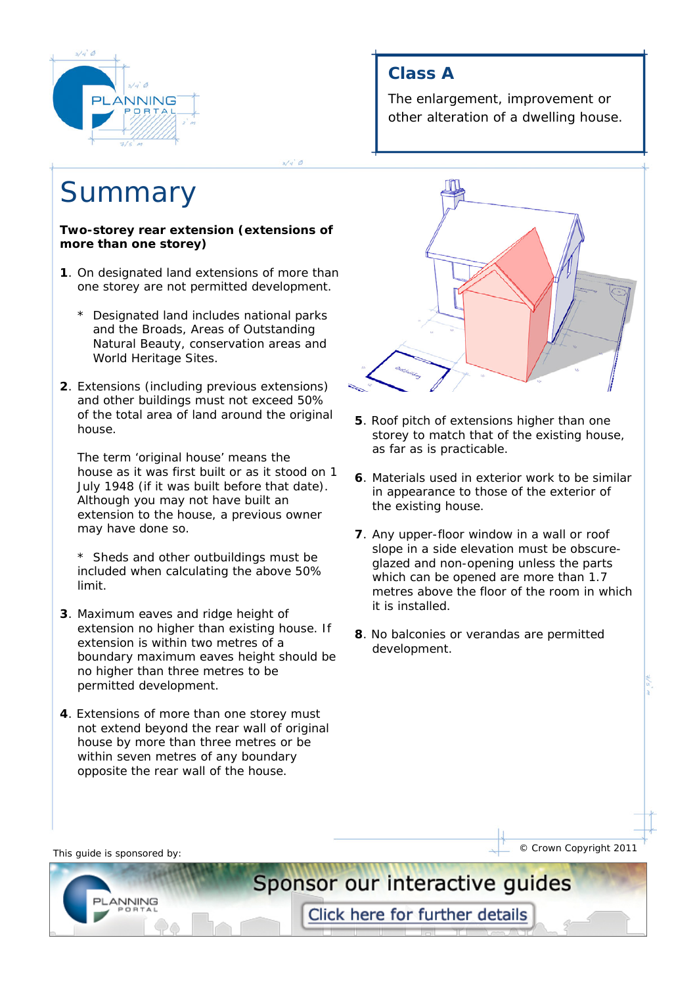

# **Summary**

#### **Two-storey rear extension (extensions of more than one storey)**

- **1**. On designated land extensions of more than one storey are not permitted development.
	- \* Designated land includes national parks and the Broads, Areas of Outstanding Natural Beauty, conservation areas and World Heritage Sites.
- **2**. Extensions (including previous extensions) and other buildings must not exceed 50% of the total area of land around the original house.

 The term 'original house' means the house as it was first built or as it stood on 1 July 1948 (if it was built before that date). Although you may not have built an extension to the house, a previous owner may have done so.

- \* Sheds and other outbuildings must be included when calculating the above 50% limit.
- **3**. Maximum eaves and ridge height of extension no higher than existing house. If extension is within two metres of a boundary maximum eaves height should be no higher than three metres to be permitted development.
- **4**. Extensions of more than one storey must not extend beyond the rear wall of original house by more than three metres or be within seven metres of any boundary opposite the rear wall of the house.

## **Class A**

The enlargement, improvement or other alteration of a dwelling house.



- **5**. Roof pitch of extensions higher than one storey to match that of the existing house, as far as is practicable.
- **6**. Materials used in exterior work to be similar in appearance to those of the exterior of the existing house.
- **7**. Any upper-floor window in a wall or roof slope in a side elevation must be obscure glazed and non-opening unless the parts which can be opened are more than 1.7 metres above the floor of the room in which it is installed.
- **8**. No balconies or verandas are permitted development.

**ANNING** 

This quide is sponsored by:  $\overline{\phantom{a}}$  © Crown Copyright 2011